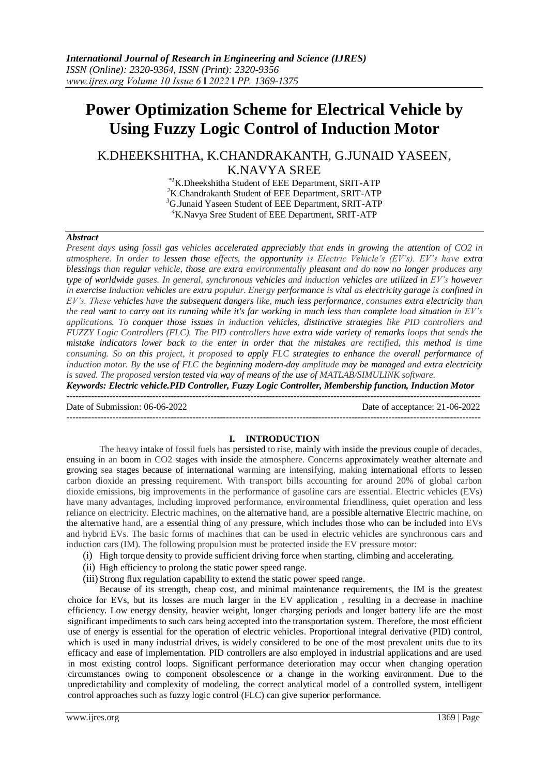# **Power Optimization Scheme for Electrical Vehicle by Using Fuzzy Logic Control of Induction Motor**

# K.DHEEKSHITHA, K.CHANDRAKANTH, G.JUNAID YASEEN, K.NAVYA SREE

*\*1*K.Dheekshitha Student of EEE Department, SRIT-ATP K.Chandrakanth Student of EEE Department, SRIT-ATP G.Junaid Yaseen Student of EEE Department, SRIT-ATP K.Navya Sree Student of EEE Department, SRIT-ATP

# *Abstract*

*Present days using fossil gas vehicles accelerated appreciably that ends in growing the attention of CO2 in atmosphere. In order to lessen those effects, the opportunity is Electric Vehicle's (EV's). EV's have extra blessings than regular vehicle, those are extra environmentally pleasant and do now no longer produces any type of worldwide gases. In general, synchronous vehicles and induction vehicles are utilized in EV's however in exercise Induction vehicles are extra popular. Energy performance is vital as electricity garage is confined in EV's. These vehicles have the subsequent dangers like, much less performance, consumes extra electricity than the real want to carry out its running while it's far working in much less than complete load situation in EV's applications. To conquer those issues in induction vehicles, distinctive strategies like PID controllers and FUZZY Logic Controllers (FLC). The PID controllers have extra wide variety of remarks loops that sends the mistake indicators lower back to the enter in order that the mistakes are rectified, this method is time consuming. So on this project, it proposed to apply FLC strategies to enhance the overall performance of induction motor. By the use of FLC the beginning modern-day amplitude may be managed and extra electricity is saved. The proposed version tested via way of means of the use of MATLAB/SIMULINK software.*

*Keywords: Electric vehicle.PID Controller, Fuzzy Logic Controller, Membership function, Induction Motor* ---------------------------------------------------------------------------------------------------------------------------------------

Date of Submission: 06-06-2022 Date of acceptance: 21-06-2022

# **I. INTRODUCTION**

---------------------------------------------------------------------------------------------------------------------------------------

The heavy intake of fossil fuels has persisted to rise, mainly with inside the previous couple of decades, ensuing in an boom in CO2 stages with inside the atmosphere. Concerns approximately weather alternate and growing sea stages because of international warming are intensifying, making international efforts to lessen carbon dioxide an pressing requirement. With transport bills accounting for around 20% of global carbon dioxide emissions, big improvements in the performance of gasoline cars are essential. Electric vehicles (EVs) have many advantages, including improved performance, environmental friendliness, quiet operation and less reliance on electricity. Electric machines, on the alternative hand, are a possible alternative Electric machine, on the alternative hand, are a essential thing of any pressure, which includes those who can be included into EVs and hybrid EVs. The basic forms of machines that can be used in electric vehicles are synchronous cars and induction cars (IM). The following propulsion must be protected inside the EV pressure motor:

- (i) High torque density to provide sufficient driving force when starting, climbing and accelerating.
- (ii) High efficiency to prolong the static power speed range.
- (iii) Strong flux regulation capability to extend the static power speed range.

Because of its strength, cheap cost, and minimal maintenance requirements, the IM is the greatest choice for EVs, but its losses are much larger in the EV application , resulting in a decrease in machine efficiency. Low energy density, heavier weight, longer charging periods and longer battery life are the most significant impediments to such cars being accepted into the transportation system. Therefore, the most efficient use of energy is essential for the operation of electric vehicles. Proportional integral derivative (PID) control, which is used in many industrial drives, is widely considered to be one of the most prevalent units due to its efficacy and ease of implementation. PID controllers are also employed in industrial applications and are used in most existing control loops. Significant performance deterioration may occur when changing operation circumstances owing to component obsolescence or a change in the working environment. Due to the unpredictability and complexity of modeling, the correct analytical model of a controlled system, intelligent control approaches such as fuzzy logic control (FLC) can give superior performance.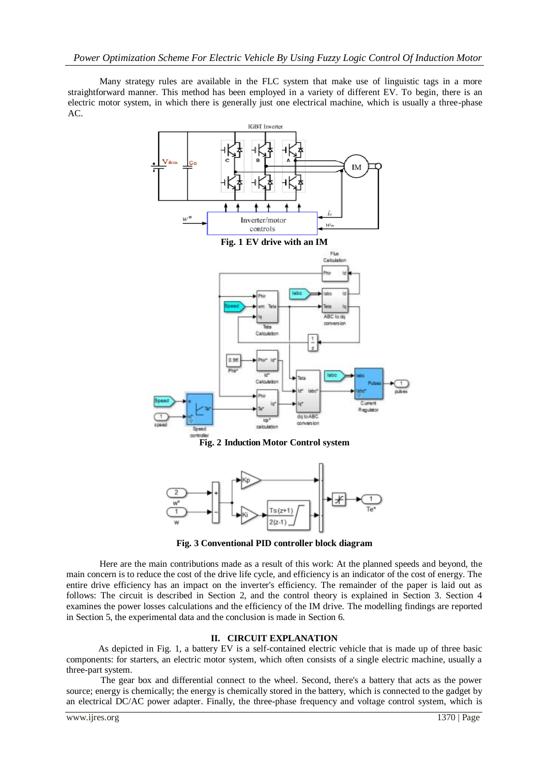Many strategy rules are available in the FLC system that make use of linguistic tags in a more straightforward manner. This method has been employed in a variety of different EV. To begin, there is an electric motor system, in which there is generally just one electrical machine, which is usually a three-phase AC.



**Fig. 2 Induction Motor Control system**



**Fig. 3 Conventional PID controller block diagram**

Here are the main contributions made as a result of this work: At the planned speeds and beyond, the main concern is to reduce the cost of the drive life cycle, and efficiency is an indicator of the cost of energy. The entire drive efficiency has an impact on the inverter's efficiency. The remainder of the paper is laid out as follows: The circuit is described in Section 2, and the control theory is explained in Section 3. Section 4 examines the power losses calculations and the efficiency of the IM drive. The modelling findings are reported in Section 5, the experimental data and the conclusion is made in Section 6.

# **II. CIRCUIT EXPLANATION**

 As depicted in Fig. 1, a battery EV is a self-contained electric vehicle that is made up of three basic components: for starters, an electric motor system, which often consists of a single electric machine, usually a three-part system.

 The gear box and differential connect to the wheel. Second, there's a battery that acts as the power source; energy is chemically; the energy is chemically stored in the battery, which is connected to the gadget by an electrical DC/AC power adapter. Finally, the three-phase frequency and voltage control system, which is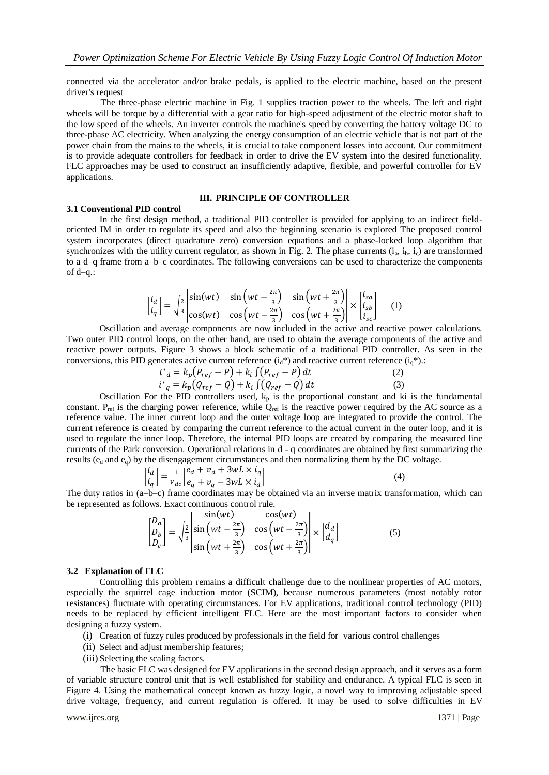connected via the accelerator and/or brake pedals, is applied to the electric machine, based on the present driver's request

 The three-phase electric machine in Fig. 1 supplies traction power to the wheels. The left and right wheels will be torque by a differential with a gear ratio for high-speed adjustment of the electric motor shaft to the low speed of the wheels. An inverter controls the machine's speed by converting the battery voltage DC to three-phase AC electricity. When analyzing the energy consumption of an electric vehicle that is not part of the power chain from the mains to the wheels, it is crucial to take component losses into account. Our commitment is to provide adequate controllers for feedback in order to drive the EV system into the desired functionality. FLC approaches may be used to construct an insufficiently adaptive, flexible, and powerful controller for EV applications.

#### **III. PRINCIPLE OF CONTROLLER**

#### **3.1 Conventional PID control**

In the first design method, a traditional PID controller is provided for applying to an indirect fieldoriented IM in order to regulate its speed and also the beginning scenario is explored The proposed control system incorporates (direct–quadrature–zero) conversion equations and a phase-locked loop algorithm that synchronizes with the utility current regulator, as shown in Fig. 2. The phase currents  $(i_a, i_b, i_c)$  are transformed to a d–q frame from a–b–c coordinates. The following conversions can be used to characterize the components of d–q.:

$$
\begin{bmatrix} i_d \\ i_q \end{bmatrix} = \sqrt{\frac{2}{3}} \begin{vmatrix} \sin(wt) & \sin(wt - \frac{2\pi}{3}) & \sin(wt + \frac{2\pi}{3}) \\ \cos(wt) & \cos(wt - \frac{2\pi}{3}) & \cos(wt + \frac{2\pi}{3}) \end{vmatrix} \times \begin{bmatrix} i_{sa} \\ i_{sb} \\ i_{sc} \end{bmatrix}
$$
 (1)

Oscillation and average components are now included in the active and reactive power calculations. Two outer PID control loops, on the other hand, are used to obtain the average components of the active and reactive power outputs. Figure 3 shows a block schematic of a traditional PID controller. As seen in the conversions, this PID generates active current reference  $(i_d*)$  and reactive current reference  $(i_d*)$ .:

$$
i^*_{d} = k_p (P_{ref} - P) + k_i \int (P_{ref} - P) dt
$$
  
\n
$$
i^*_{q} = k_p (Q_{ref} - Q) + k_i \int (Q_{ref} - Q) dt
$$
 (2)  
\n(3)

Oscillation For the PID controllers used,  $k_p$  is the proportional constant and ki is the fundamental constant.  $P_{ref}$  is the charging power reference, while  $Q_{ref}$  is the reactive power required by the AC source as a reference value. The inner current loop and the outer voltage loop are integrated to provide the control. The current reference is created by comparing the current reference to the actual current in the outer loop, and it is used to regulate the inner loop. Therefore, the internal PID loops are created by comparing the measured line currents of the Park conversion. Operational relations in d - q coordinates are obtained by first summarizing the results ( $e_d$  and  $e_q$ ) by the disengagement circumstances and then normalizing them by the DC voltage.

$$
\begin{bmatrix} i_d \\ i_q \end{bmatrix} = \frac{1}{v_{dc}} \begin{vmatrix} e_d + v_d + 3wL \times i_q \\ e_q + v_q - 3wL \times i_d \end{vmatrix}
$$
 (4)

The duty ratios in (a–b–c) frame coordinates may be obtained via an inverse matrix transformation, which can be represented as follows. Exact continuous control rule.

$$
\begin{bmatrix} D_a \\ D_b \\ D_c \end{bmatrix} = \sqrt{\frac{2}{3}} \begin{vmatrix} \sin(wt) & \cos(wt) \\ \sin(wt - \frac{2\pi}{3}) & \cos(wt - \frac{2\pi}{3}) \\ \sin(wt + \frac{2\pi}{3}) & \cos(wt + \frac{2\pi}{3}) \end{vmatrix} \times \begin{bmatrix} d_a \\ d_q \end{bmatrix}
$$
(5)

#### **3.2 Explanation of FLC**

Controlling this problem remains a difficult challenge due to the nonlinear properties of AC motors, especially the squirrel cage induction motor (SCIM), because numerous parameters (most notably rotor resistances) fluctuate with operating circumstances. For EV applications, traditional control technology (PID) needs to be replaced by efficient intelligent FLC. Here are the most important factors to consider when designing a fuzzy system.

- (i) Creation of fuzzy rules produced by professionals in the field for various control challenges
- (ii) Select and adjust membership features;
- (iii) Selecting the scaling factors.

 The basic FLC was designed for EV applications in the second design approach, and it serves as a form of variable structure control unit that is well established for stability and endurance. A typical FLC is seen in Figure 4. Using the mathematical concept known as fuzzy logic, a novel way to improving adjustable speed drive voltage, frequency, and current regulation is offered. It may be used to solve difficulties in EV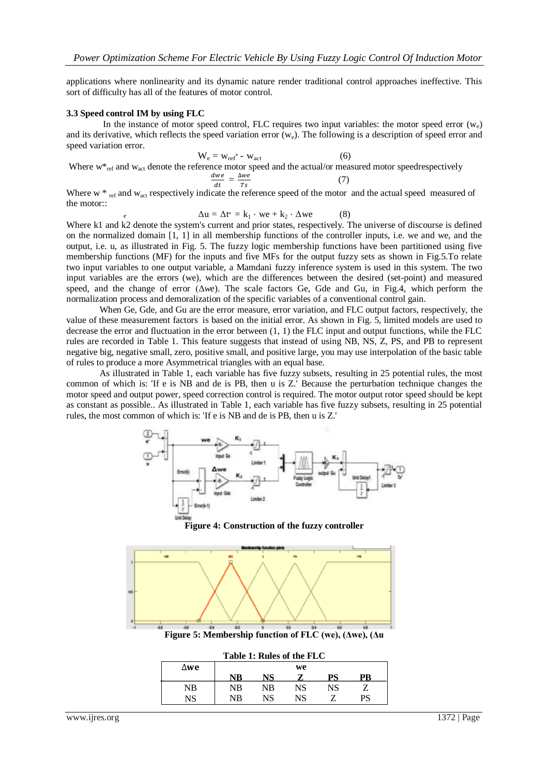applications where nonlinearity and its dynamic nature render traditional control approaches ineffective. This sort of difficulty has all of the features of motor control.

#### **3.3 Speed control IM by using FLC**

*e*

In the instance of motor speed control, FLC requires two input variables: the motor speed error  $(w_0)$ and its derivative, which reflects the speed variation error  $(w_e)$ . The following is a description of speed error and speed variation error.

Where 
$$
w^*_{ref}
$$
 and  $w_{act}$  denote the reference motor speed and the actual/or measured motor speedrespectively  
\n
$$
\frac{dwe}{dt} = \frac{\Delta we}{Ts}
$$
\n(6)

Where  $w *_{ref}$  and  $w_{act}$  respectively indicate the reference speed of the motor and the actual speed measured of the motor::

$$
\Delta u = \Delta t^* = k_1 \cdot we + k_2 \cdot \Delta we \tag{8}
$$

Where k1 and k2 denote the system's current and prior states, respectively. The universe of discourse is defined on the normalized domain [1, 1] in all membership functions of the controller inputs, i.e. we and we, and the output, i.e. u, as illustrated in Fig. 5. The fuzzy logic membership functions have been partitioned using five membership functions (MF) for the inputs and five MFs for the output fuzzy sets as shown in Fig.5.To relate two input variables to one output variable, a Mamdani fuzzy inference system is used in this system. The two input variables are the errors (we), which are the differences between the desired (set-point) and measured speed, and the change of error (Δ*we*). The scale factors Ge, Gde and Gu, in Fig.4, which perform the normalization process and demoralization of the specific variables of a conventional control gain.

When Ge, Gde, and Gu are the error measure, error variation, and FLC output factors, respectively, the value of these measurement factors is based on the initial error. As shown in Fig. 5, limited models are used to decrease the error and fluctuation in the error between (1, 1) the FLC input and output functions, while the FLC rules are recorded in Table 1. This feature suggests that instead of using NB, NS, Z, PS, and PB to represent negative big, negative small, zero, positive small, and positive large, you may use interpolation of the basic table of rules to produce a more Asymmetrical triangles with an equal base.

As illustrated in Table 1, each variable has five fuzzy subsets, resulting in 25 potential rules, the most common of which is: 'If e is NB and de is PB, then u is Z.' Because the perturbation technique changes the motor speed and output power, speed correction control is required. The motor output rotor speed should be kept as constant as possible.. As illustrated in Table 1, each variable has five fuzzy subsets, resulting in 25 potential rules, the most common of which is: 'If e is NB and de is PB, then u is Z.'



**Figure 4: Construction of the fuzzy controller**



**Figure 5: Membership function of FLC (we), (Δwe), (Δu**

| Table 1: Rules of the FLC |    |    |    |    |    |  |
|---------------------------|----|----|----|----|----|--|
| ∆we                       | we |    |    |    |    |  |
|                           | VР |    |    |    |    |  |
| NB                        | NB | NB | NS | NS |    |  |
| NS                        | NB | NS | NS |    | PS |  |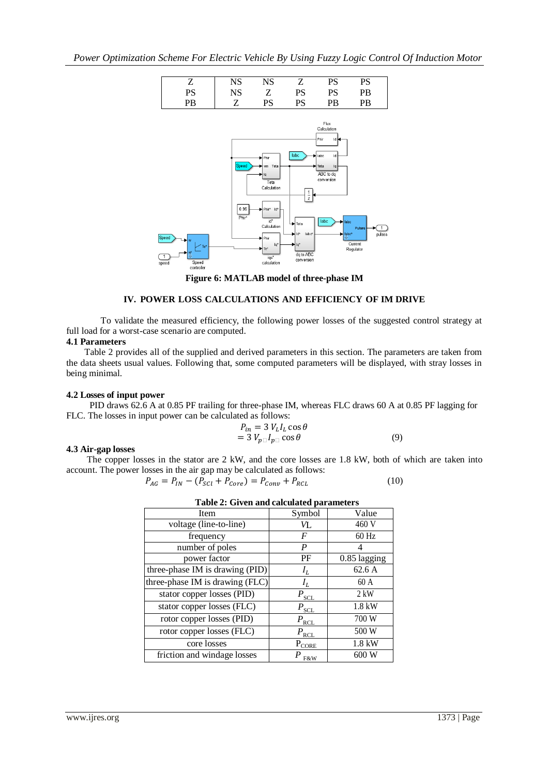

**Figure 6: MATLAB model of three-phase IM**

# **IV. POWER LOSS CALCULATIONS AND EFFICIENCY OF IM DRIVE**

 To validate the measured efficiency, the following power losses of the suggested control strategy at full load for a worst-case scenario are computed.

# **4.1 Parameters**

 Table 2 provides all of the supplied and derived parameters in this section. The parameters are taken from the data sheets usual values. Following that, some computed parameters will be displayed, with stray losses in being minimal.

#### **4.2 Losses of input power**

 PID draws 62.6 A at 0.85 PF trailing for three-phase IM, whereas FLC draws 60 A at 0.85 PF lagging for FLC. The losses in input power can be calculated as follows:

$$
P_{in} = 3 V_L I_L \cos \theta
$$
  
= 3 V<sub>p</sub> \Box l<sub>p</sub> \Box \cos \theta (9)

#### **4.3 Air-gap losses**

 The copper losses in the stator are 2 kW, and the core losses are 1.8 kW, both of which are taken into account. The power losses in the air gap may be calculated as follows:

$$
P_{AG} = P_{IN} - (P_{SCl} + P_{Core}) = P_{Conv} + P_{RCL}
$$
 (10)

| Item                            | Symbol           | Value        |
|---------------------------------|------------------|--------------|
| voltage (line-to-line)          | И.               | 460 V        |
| frequency                       | F                | $60$ Hz      |
| number of poles                 | P                | 4            |
| power factor                    | PF               | 0.85 lagging |
| three-phase IM is drawing (PID) | $I_L$            | 62.6 A       |
| three-phase IM is drawing (FLC) | $I_L$            | 60A          |
| stator copper losses (PID)      | $P_{\text{SCL}}$ | $2$ kW       |
| stator copper losses (FLC)      | $P_{\text{SCL}}$ | 1.8 kW       |
| rotor copper losses (PID)       | $P_{\text{RCL}}$ | 700 W        |
| rotor copper losses (FLC)       | $P_{\rm RCL}$    | 500 W        |
| core losses                     | PCORE            | 1.8 kW       |
| friction and windage losses     | F&W              | 600 W        |

|  | Table 2: Given and calculated parameters |  |
|--|------------------------------------------|--|
|  |                                          |  |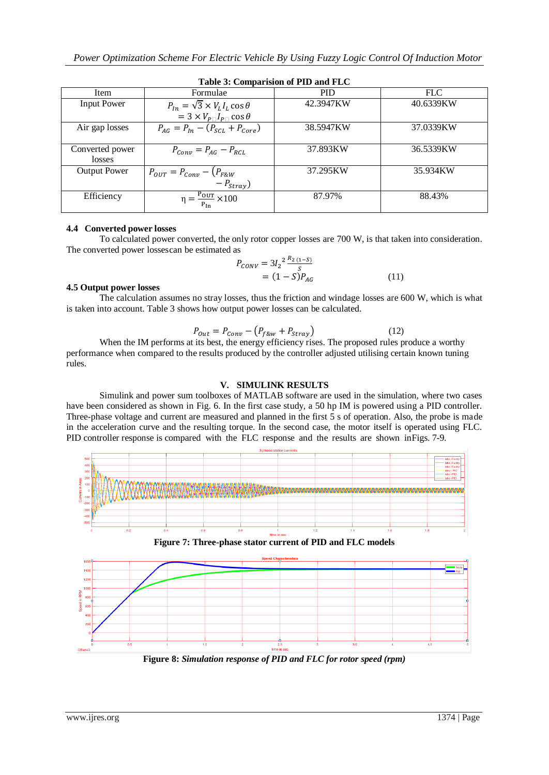| Table 5. Comparision of TTD and FLC |                                                                                                  |            |           |  |  |  |
|-------------------------------------|--------------------------------------------------------------------------------------------------|------------|-----------|--|--|--|
| Item                                | Formulae                                                                                         | <b>PID</b> | FLC       |  |  |  |
| <b>Input Power</b>                  | $P_{In} = \sqrt{3} \times V_L I_L \cos \theta$<br>$= 3 \times V_{P} \cap I_{P} \cap \cos \theta$ | 42.3947KW  | 40.6339KW |  |  |  |
| Air gap losses                      | $P_{AG} = P_{In} - (P_{SCL} + P_{Core})$                                                         | 38.5947KW  | 37.0339KW |  |  |  |
| Converted power<br>losses           | $P_{Conv} = P_{AG} - P_{RCL}$                                                                    | 37.893KW   | 36.5339KW |  |  |  |
| <b>Output Power</b>                 | $P_{OUT} = P_{Conv} - (P_{F&W})$<br>$-P_{stray}$ )                                               | 37.295KW   | 35.934KW  |  |  |  |
| Efficiency                          | $\eta = \frac{P_{OUT}}{P_{In}} \times 100$                                                       | 87.97%     | 88.43%    |  |  |  |

#### **Table 3: Comparision of PID and FLC**

# **4.4 Converted power losses**

To calculated power converted, the only rotor copper losses are 700 W, is that taken into consideration. The converted power lossescan be estimated as

$$
P_{CONV} = 3I_2 \frac{R_2 (1 - S)}{S}
$$
  
= (1 - S)P<sub>AG</sub> (11)

# **4.5 Output power losses**

The calculation assumes no stray losses, thus the friction and windage losses are 600 W, which is what is taken into account. Table 3 shows how output power losses can be calculated.

$$
P_{Out} = P_{Conv} - \left(P_{f\&w} + P_{Stray}\right) \tag{12}
$$

When the IM performs at its best, the energy efficiency rises. The proposed rules produce a worthy performance when compared to the results produced by the controller adjusted utilising certain known tuning rules.

# **V. SIMULINK RESULTS**

Simulink and power sum toolboxes of MATLAB software are used in the simulation, where two cases have been considered as shown in Fig. 6. In the first case study, a 50 hp IM is powered using a PID controller. Three-phase voltage and current are measured and planned in the first 5 s of operation. Also, the probe is made in the acceleration curve and the resulting torque. In the second case, the motor itself is operated using FLC. PID controller response is compared with the FLC response and the results are shown inFigs. 7-9.





**Figure 8:** *Simulation response of PID and FLC for rotor speed (rpm)*